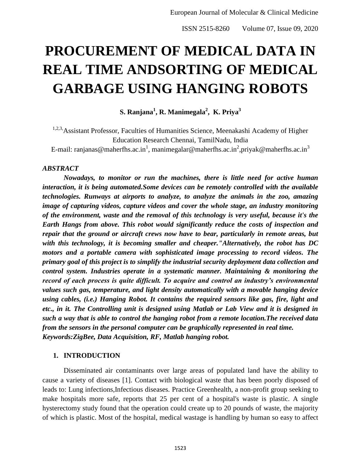# **PROCUREMENT OF MEDICAL DATA IN REAL TIME ANDSORTING OF MEDICAL GARBAGE USING HANGING ROBOTS**

**S. Ranjana<sup>1</sup> , R. Manimegala<sup>2</sup> , K. Priya<sup>3</sup>**

<sup>1,2,3</sup>, Assistant Professor, Faculties of Humanities Science, Meenakashi Academy of Higher Education Research Chennai, TamilNadu, India

E-mail: ranjanas@maherfhs.ac.in<sup>1</sup>, manimegalar@maherfhs.ac.in<sup>2</sup>,priyak@maherfhs.ac.in<sup>3</sup>

#### *ABSTRACT*

*Nowadays, to monitor or run the machines, there is little need for active human interaction, it is being automated.Some devices can be remotely controlled with the available technologies. Runways at airports to analyze, to analyze the animals in the zoo, amazing image of capturing videos, capture videos and cover the whole stage, an industry monitoring of the environment, waste and the removal of this technology is very useful, because it's the Earth Hangs from above. This robot would significantly reduce the costs of inspection and repair that the ground or aircraft crews now have to bear, particularly in remote areas, but with this technology, it is becoming smaller and cheaper."Alternatively, the robot has DC motors and a portable camera with sophisticated image processing to record videos. The primary goal of this project is to simplify the industrial security deployment data collection and control system. Industries operate in a systematic manner. Maintaining & monitoring the record of each process is quite difficult. To acquire and control an industry's environmental values such gas, temperature, and light density automatically with a movable hanging device using cables, (i.e.) Hanging Robot. It contains the required sensors like gas, fire, light and etc., in it. The Controlling unit is designed using Matlab or Lab View and it is designed in such a way that is able to control the hanging robot from a remote location.The received data from the sensors in the personal computer can be graphically represented in real time. Keywords:ZigBee, Data Acquisition, RF, Matlab hanging robot.*

#### **1. INTRODUCTION**

Disseminated air contaminants over large areas of populated land have the ability to cause a variety of diseases [1]. Contact with biological waste that has been poorly disposed of leads to: Lung infections,Infectious diseases. Practice Greenhealth, a non-profit group seeking to make hospitals more safe, reports that 25 per cent of a hospital's waste is plastic. A single hysterectomy study found that the operation could create up to 20 pounds of waste, the majority of which is plastic. Most of the hospital, medical wastage is handling by human so easy to affect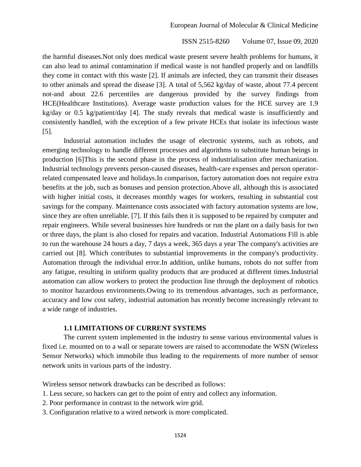the harmful diseases.Not only does medical waste present severe health problems for humans, it can also lead to animal contamination if medical waste is not handled properly and on landfills they come in contact with this waste [2]. If animals are infected, they can transmit their diseases to other animals and spread the disease [3]. A total of 5,562 kg/day of waste, about 77.4 percent not-and about 22.6 percentiles are dangerous provided by the survey findings from HCE(Healthcare Institutions). Average waste production values for the HCE survey are 1.9 kg/day or 0.5 kg/patient/day [4]. The study reveals that medical waste is insufficiently and consistently handled, with the exception of a few private HCEs that isolate its infectious waste [5].

Industrial automation includes the usage of electronic systems, such as robots, and emerging technology to handle different processes and algorithms to substitute human beings in production [6]This is the second phase in the process of industrialisation after mechanization. Industrial technology prevents person-caused diseases, health-care expenses and person operatorrelated compensated leave and holidays.In comparison, factory automation does not require extra benefits at the job, such as bonuses and pension protection.Above all, although this is associated with higher initial costs, it decreases monthly wages for workers, resulting in substantial cost savings for the company. Maintenance costs associated with factory automation systems are low, since they are often unreliable. [7]. If this fails then it is supposed to be repaired by computer and repair engineers. While several businesses hire hundreds or run the plant on a daily basis for two or three days, the plant is also closed for repairs and vacation. Industrial Automations Fill is able to run the warehouse 24 hours a day, 7 days a week, 365 days a year The company's activities are carried out [8]. Which contributes to substantial improvements in the company's productivity. Automation through the individual error.In addition, unlike humans, robots do not suffer from any fatigue, resulting in uniform quality products that are produced at different times.Industrial automation can allow workers to protect the production line through the deployment of robotics to monitor hazardous environments.Owing to its tremendous advantages, such as performance, accuracy and low cost safety, industrial automation has recently become increasingly relevant to a wide range of industries.

## **1.1 LIMITATIONS OF CURRENT SYSTEMS**

The current system implemented in the industry to sense various environmental values is fixed i.e. mounted on to a wall or separate towers are raised to accommodate the WSN (Wireless Sensor Networks) which immobile thus leading to the requirements of more number of sensor network units in various parts of the industry.

Wireless sensor network drawbacks can be described as follows:

- 1. Less secure, so hackers can get to the point of entry and collect any information.
- 2. Poor performance in contrast to the network wire grid.
- 3. Configuration relative to a wired network is more complicated.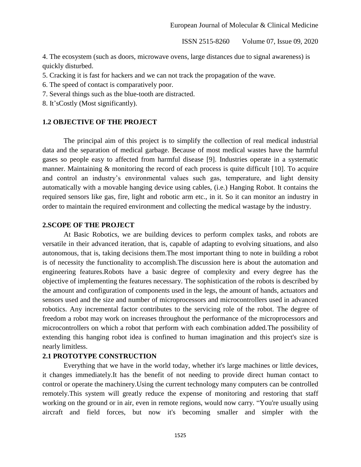4. The ecosystem (such as doors, microwave ovens, large distances due to signal awareness) is quickly disturbed.

5. Cracking it is fast for hackers and we can not track the propagation of the wave.

6. The speed of contact is comparatively poor.

7. Several things such as the blue-tooth are distracted.

8. It'sCostly (Most significantly).

### **1.2 OBJECTIVE OF THE PROJECT**

The principal aim of this project is to simplify the collection of real medical industrial data and the separation of medical garbage. Because of most medical wastes have the harmful gases so people easy to affected from harmful disease [9]. Industries operate in a systematic manner. Maintaining & monitoring the record of each process is quite difficult [10]. To acquire and control an industry's environmental values such gas, temperature, and light density automatically with a movable hanging device using cables, (i.e.) Hanging Robot. It contains the required sensors like gas, fire, light and robotic arm etc., in it. So it can monitor an industry in order to maintain the required environment and collecting the medical wastage by the industry.

## **2.SCOPE OF THE PROJECT**

At Basic Robotics, we are building devices to perform complex tasks, and robots are versatile in their advanced iteration, that is, capable of adapting to evolving situations, and also autonomous, that is, taking decisions them.The most important thing to note in building a robot is of necessity the functionality to accomplish.The discussion here is about the automation and engineering features.Robots have a basic degree of complexity and every degree has the objective of implementing the features necessary. The sophistication of the robots is described by the amount and configuration of components used in the legs, the amount of hands, actuators and sensors used and the size and number of microprocessors and microcontrollers used in advanced robotics. Any incremental factor contributes to the servicing role of the robot. The degree of freedom a robot may work on increases throughout the performance of the microprocessors and microcontrollers on which a robot that perform with each combination added.The possibility of extending this hanging robot idea is confined to human imagination and this project's size is nearly limitless.

#### **2.1 PROTOTYPE CONSTRUCTION**

Everything that we have in the world today, whether it's large machines or little devices, it changes immediately.It has the benefit of not needing to provide direct human contact to control or operate the machinery.Using the current technology many computers can be controlled remotely.This system will greatly reduce the expense of monitoring and restoring that staff working on the ground or in air, even in remote regions, would now carry. "You're usually using aircraft and field forces, but now it's becoming smaller and simpler with the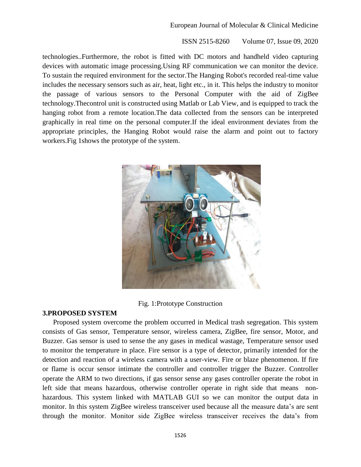technologies..Furthermore, the robot is fitted with DC motors and handheld video capturing devices with automatic image processing.Using RF communication we can monitor the device. To sustain the required environment for the sector.The Hanging Robot's recorded real-time value includes the necessary sensors such as air, heat, light etc., in it. This helps the industry to monitor the passage of various sensors to the Personal Computer with the aid of ZigBee technology.Thecontrol unit is constructed using Matlab or Lab View, and is equipped to track the hanging robot from a remote location.The data collected from the sensors can be interpreted graphically in real time on the personal computer.If the ideal environment deviates from the appropriate principles, the Hanging Robot would raise the alarm and point out to factory workers.Fig 1shows the prototype of the system.



## Fig. 1:Prototype Construction

## **3.PROPOSED SYSTEM**

Proposed system overcome the problem occurred in Medical trash segregation. This system consists of Gas sensor, Temperature sensor, wireless camera, ZigBee, fire sensor, Motor, and Buzzer. Gas sensor is used to sense the any gases in medical wastage, Temperature sensor used to monitor the temperature in place. Fire sensor is a type of detector, primarily intended for the detection and reaction of a wireless camera with a user-view. Fire or blaze phenomenon. If fire or flame is occur sensor intimate the controller and controller trigger the Buzzer. Controller operate the ARM to two directions, if gas sensor sense any gases controller operate the robot in left side that means hazardous, otherwise controller operate in right side that means nonhazardous. This system linked with MATLAB GUI so we can monitor the output data in monitor. In this system ZigBee wireless transceiver used because all the measure data's are sent through the monitor. Monitor side ZigBee wireless transceiver receives the data's from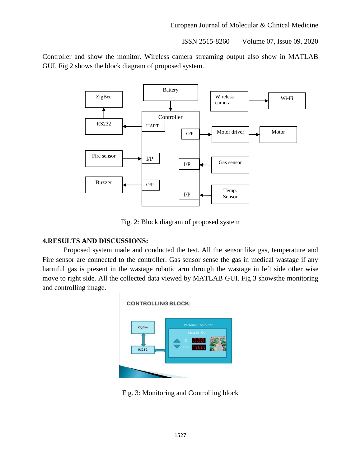Controller and show the monitor. Wireless camera streaming output also show in MATLAB GUI. Fig 2 shows the block diagram of proposed system.



Fig. 2: Block diagram of proposed system

# **4.RESULTS AND DISCUSSIONS:**

Proposed system made and conducted the test. All the sensor like gas, temperature and Fire sensor are connected to the controller. Gas sensor sense the gas in medical wastage if any harmful gas is present in the wastage robotic arm through the wastage in left side other wise move to right side. All the collected data viewed by MATLAB GUI. Fig 3 showsthe monitoring and controlling image.



Fig. 3: Monitoring and Controlling block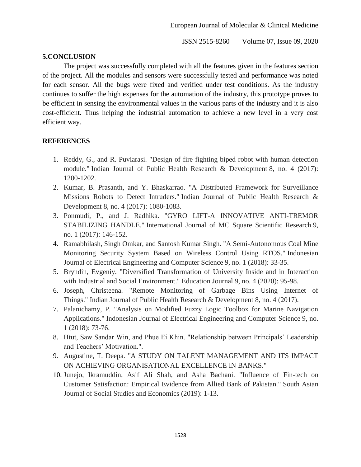## **5.CONCLUSION**

The project was successfully completed with all the features given in the features section of the project. All the modules and sensors were successfully tested and performance was noted for each sensor. All the bugs were fixed and verified under test conditions. As the industry continues to suffer the high expenses for the automation of the industry, this prototype proves to be efficient in sensing the environmental values in the various parts of the industry and it is also cost-efficient. Thus helping the industrial automation to achieve a new level in a very cost efficient way.

## **REFERENCES**

- 1. Reddy, G., and R. Puviarasi. "Design of fire fighting biped robot with human detection module." Indian Journal of Public Health Research & Development 8, no. 4 (2017): 1200-1202.
- 2. Kumar, B. Prasanth, and Y. Bhaskarrao. "A Distributed Framework for Surveillance Missions Robots to Detect Intruders." Indian Journal of Public Health Research & Development 8, no. 4 (2017): 1080-1083.
- 3. Ponmudi, P., and J. Radhika. "GYRO LIFT-A INNOVATIVE ANTI-TREMOR STABILIZING HANDLE." International Journal of MC Square Scientific Research 9, no. 1 (2017): 146-152.
- 4. Ramabhilash, Singh Omkar, and Santosh Kumar Singh. "A Semi-Autonomous Coal Mine Monitoring Security System Based on Wireless Control Using RTOS." Indonesian Journal of Electrical Engineering and Computer Science 9, no. 1 (2018): 33-35.
- 5. Bryndin, Evgeniy. "Diversified Transformation of University Inside and in Interaction with Industrial and Social Environment." Education Journal 9, no. 4 (2020): 95-98.
- 6. Joseph, Christeena. "Remote Monitoring of Garbage Bins Using Internet of Things." Indian Journal of Public Health Research & Development 8, no. 4 (2017).
- 7. Palanichamy, P. "Analysis on Modified Fuzzy Logic Toolbox for Marine Navigation Applications." Indonesian Journal of Electrical Engineering and Computer Science 9, no. 1 (2018): 73-76.
- 8. Htut, Saw Sandar Win, and Phue Ei Khin. "Relationship between Principals' Leadership and Teachers' Motivation.".
- 9. Augustine, T. Deepa. "A STUDY ON TALENT MANAGEMENT AND ITS IMPACT ON ACHIEVING ORGANISATIONAL EXCELLENCE IN BANKS."
- 10. Junejo, Ikramuddin, Asif Ali Shah, and Asha Bachani. "Influence of Fin-tech on Customer Satisfaction: Empirical Evidence from Allied Bank of Pakistan." South Asian Journal of Social Studies and Economics (2019): 1-13.